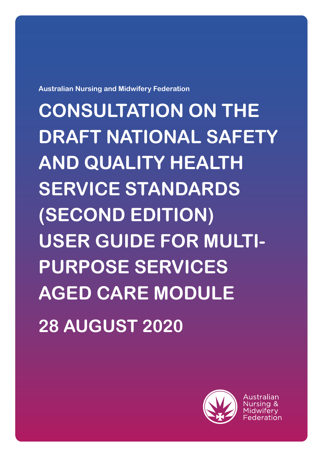**Australian Nursing and Midwifery Federation**

**CONSULTATION ON THE DRAFT NATIONAL SAFETY AND QUALITY HEALTH SERVICE STANDARDS (SECOND EDITION) USER GUIDE FOR MULTI-PURPOSE SERVICES AGED CARE MODULE 28 AUGUST 2020**

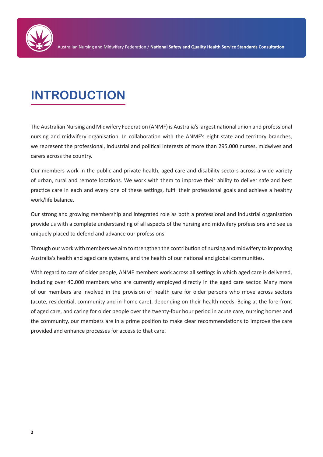

# **INTRODUCTION**

The Australian Nursing and Midwifery Federation (ANMF) is Australia's largest national union and professional nursing and midwifery organisation. In collaboration with the ANMF's eight state and territory branches, we represent the professional, industrial and political interests of more than 295,000 nurses, midwives and carers across the country.

Our members work in the public and private health, aged care and disability sectors across a wide variety of urban, rural and remote locations. We work with them to improve their ability to deliver safe and best practice care in each and every one of these settings, fulfil their professional goals and achieve a healthy work/life balance.

Our strong and growing membership and integrated role as both a professional and industrial organisation provide us with a complete understanding of all aspects of the nursing and midwifery professions and see us uniquely placed to defend and advance our professions.

Through our work with members we aim to strengthen the contribution of nursing and midwifery to improving Australia's health and aged care systems, and the health of our national and global communities.

With regard to care of older people, ANMF members work across all settings in which aged care is delivered, including over 40,000 members who are currently employed directly in the aged care sector. Many more of our members are involved in the provision of health care for older persons who move across sectors (acute, residential, community and in-home care), depending on their health needs. Being at the fore-front of aged care, and caring for older people over the twenty-four hour period in acute care, nursing homes and the community, our members are in a prime position to make clear recommendations to improve the care provided and enhance processes for access to that care.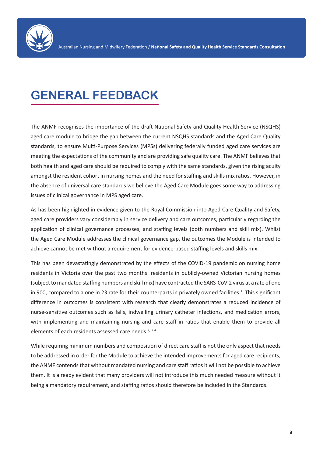

## **GENERAL FEEDBACK**

The ANMF recognises the importance of the draft National Safety and Quality Health Service (NSQHS) aged care module to bridge the gap between the current NSQHS standards and the Aged Care Quality standards, to ensure Multi-Purpose Services (MPSs) delivering federally funded aged care services are meeting the expectations of the community and are providing safe quality care. The ANMF believes that both health and aged care should be required to comply with the same standards, given the rising acuity amongst the resident cohort in nursing homes and the need for staffing and skills mix ratios. However, in the absence of universal care standards we believe the Aged Care Module goes some way to addressing issues of clinical governance in MPS aged care.

As has been highlighted in evidence given to the Royal Commission into Aged Care Quality and Safety, aged care providers vary considerably in service delivery and care outcomes, particularly regarding the application of clinical governance processes, and staffing levels (both numbers and skill mix). Whilst the Aged Care Module addresses the clinical governance gap, the outcomes the Module is intended to achieve cannot be met without a requirement for evidence-based staffing levels and skills mix.

This has been devastatingly demonstrated by the effects of the COVID-19 pandemic on nursing home residents in Victoria over the past two months: residents in publicly-owned Victorian nursing homes (subject to mandated staffing numbers and skill mix) have contracted the SARS-CoV-2 virus at a rate of one in 900, compared to a one in 23 rate for their counterparts in privately owned facilities.<sup>1</sup> This significant difference in outcomes is consistent with research that clearly demonstrates a reduced incidence of nurse-sensitive outcomes such as falls, indwelling urinary catheter infections, and medication errors, with implementing and maintaining nursing and care staff in ratios that enable them to provide all elements of each residents assessed care needs. $2,3,4$ 

While requiring minimum numbers and composition of direct care staff is not the only aspect that needs to be addressed in order for the Module to achieve the intended improvements for aged care recipients, the ANMF contends that without mandated nursing and care staff ratios it will not be possible to achieve them. It is already evident that many providers will not introduce this much needed measure without it being a mandatory requirement, and staffing ratios should therefore be included in the Standards.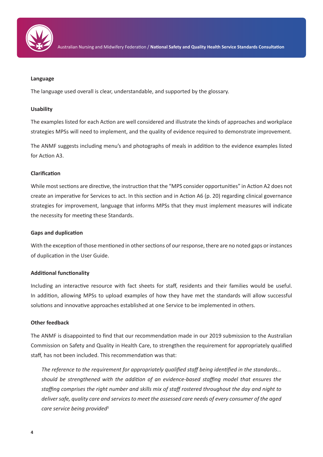

### **Language**

The language used overall is clear, understandable, and supported by the glossary.

### **Usability**

The examples listed for each Action are well considered and illustrate the kinds of approaches and workplace strategies MPSs will need to implement, and the quality of evidence required to demonstrate improvement.

The ANMF suggests including menu's and photographs of meals in addition to the evidence examples listed for Action A3.

### **Clarification**

While most sections are directive, the instruction that the "MPS consider opportunities" in Action A2 does not create an imperative for Services to act. In this section and in Action A6 (p. 20) regarding clinical governance strategies for improvement, language that informs MPSs that they must implement measures will indicate the necessity for meeting these Standards.

#### **Gaps and duplication**

With the exception of those mentioned in other sections of our response, there are no noted gaps or instances of duplication in the User Guide.

## **Additional functionality**

Including an interactive resource with fact sheets for staff, residents and their families would be useful. In addition, allowing MPSs to upload examples of how they have met the standards will allow successful solutions and innovative approaches established at one Service to be implemented in others.

#### **Other feedback**

The ANMF is disappointed to find that our recommendation made in our 2019 submission to the Australian Commission on Safety and Quality in Health Care, to strengthen the requirement for appropriately qualified staff, has not been included. This recommendation was that:

*The reference to the requirement for appropriately qualified staff being identified in the standards… should be strengthened with the addition of an evidence-based staffing model that ensures the staffing comprises the right number and skills mix of staff rostered throughout the day and night to deliver safe, quality care and services to meet the assessed care needs of every consumer of the aged care service being provided5*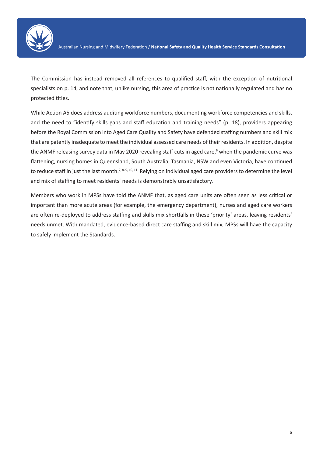

The Commission has instead removed all references to qualified staff, with the exception of nutritional specialists on p. 14, and note that, unlike nursing, this area of practice is not nationally regulated and has no protected titles.

While Action A5 does address auditing workforce numbers, documenting workforce competencies and skills, and the need to "identify skills gaps and staff education and training needs" (p. 18), providers appearing before the Royal Commission into Aged Care Quality and Safety have defended staffing numbers and skill mix that are patently inadequate to meet the individual assessed care needs of their residents. In addition, despite the ANMF releasing survey data in May 2020 revealing staff cuts in aged care,<sup>6</sup> when the pandemic curve was flattening, nursing homes in Queensland, South Australia, Tasmania, NSW and even Victoria, have continued to reduce staff in just the last month.<sup>7, 8, 9, 10, 11</sup> Relying on individual aged care providers to determine the level and mix of staffing to meet residents' needs is demonstrably unsatisfactory.

Members who work in MPSs have told the ANMF that, as aged care units are often seen as less critical or important than more acute areas (for example, the emergency department), nurses and aged care workers are often re-deployed to address staffing and skills mix shortfalls in these 'priority' areas, leaving residents' needs unmet. With mandated, evidence-based direct care staffing and skill mix, MPSs will have the capacity to safely implement the Standards.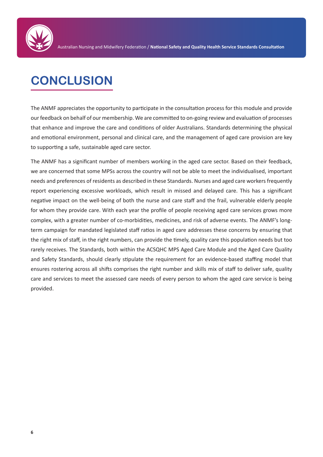

## **CONCLUSION**

The ANMF appreciates the opportunity to participate in the consultation process for this module and provide our feedback on behalf of our membership. We are committed to on-going review and evaluation of processes that enhance and improve the care and conditions of older Australians. Standards determining the physical and emotional environment, personal and clinical care, and the management of aged care provision are key to supporting a safe, sustainable aged care sector.

The ANMF has a significant number of members working in the aged care sector. Based on their feedback, we are concerned that some MPSs across the country will not be able to meet the individualised, important needs and preferences of residents as described in these Standards. Nurses and aged care workers frequently report experiencing excessive workloads, which result in missed and delayed care. This has a significant negative impact on the well-being of both the nurse and care staff and the frail, vulnerable elderly people for whom they provide care. With each year the profile of people receiving aged care services grows more complex, with a greater number of co-morbidities, medicines, and risk of adverse events. The ANMF's longterm campaign for mandated legislated staff ratios in aged care addresses these concerns by ensuring that the right mix of staff, in the right numbers, can provide the timely, quality care this population needs but too rarely receives. The Standards, both within the ACSQHC MPS Aged Care Module and the Aged Care Quality and Safety Standards, should clearly stipulate the requirement for an evidence-based staffing model that ensures rostering across all shifts comprises the right number and skills mix of staff to deliver safe, quality care and services to meet the assessed care needs of every person to whom the aged care service is being provided.